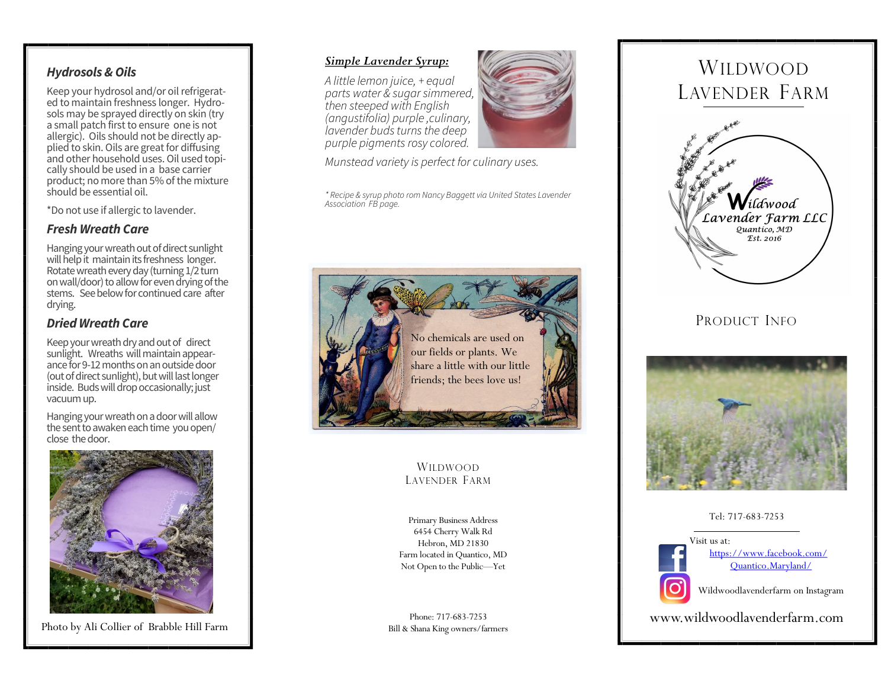## *Hydrosols & Oils*

Keep your hydrosol and/or oil refrigerated to maintain freshness longer. Hydrosols may be sprayed directly on skin (try a small patch first to ensure one is not allergic). Oils should not be directly applied to skin. Oils are great for diffusing and other household uses. Oil used topically should be used in a base carrier product; no more than 5% of the mixture should be essential oil.

\*Do not use if allergic to lavender.

### *Fresh Wreath Care*

Hanging your wreath out of direct sunlight will help it maintain its freshness longer. Rotate wreath every day (turning 1/2 turn on wall/door) to allow for even drying of the stems. See below for continued care after drying.

### *Dried Wreath Care*

Keep your wreath dry and out of direct sunlight. Wreaths will maintain appearance for 9-12 months on an outside door (out of direct sunlight), but will last longer inside. Buds will drop occasionally; just vacuum up.

Hanging your wreath on a door will allow the sent to awaken each time you open/ close the door.



Photo by Ali Collier of Brabble Hill Farm

### *Simple Lavender Syrup:*

*A little lemon juice, + equal parts water & sugar simmered, then steeped with English (angustifolia) purple ,culinary, lavender buds turns the deep purple pigments rosy colored.* 

*Munstead variety is perfect for culinary uses.* 

*\* Recipe & syrup photo rom Nancy Baggett via United States Lavender Association FB page.*



### WILDWOOD LAVENDER FARM

Primary Business Address 6454 Cherry Walk Rd Hebron, MD 21830 Farm located in Quantico, MD Not Open to the Public—Yet

Phone: 717-683-7253 Bill & Shana King owners/farmers



# WILDWOOD LAVENDER FARM



# PRODUCT INFO



#### Tel: 717-683-7253



[https://www.facebook.com/](https://www.facebook.com/Quantico.Maryland/) [Quantico.Maryland/](https://www.facebook.com/Quantico.Maryland/)

Wildwoodlavenderfarm on Instagram

www.wildwoodlavenderfarm.com